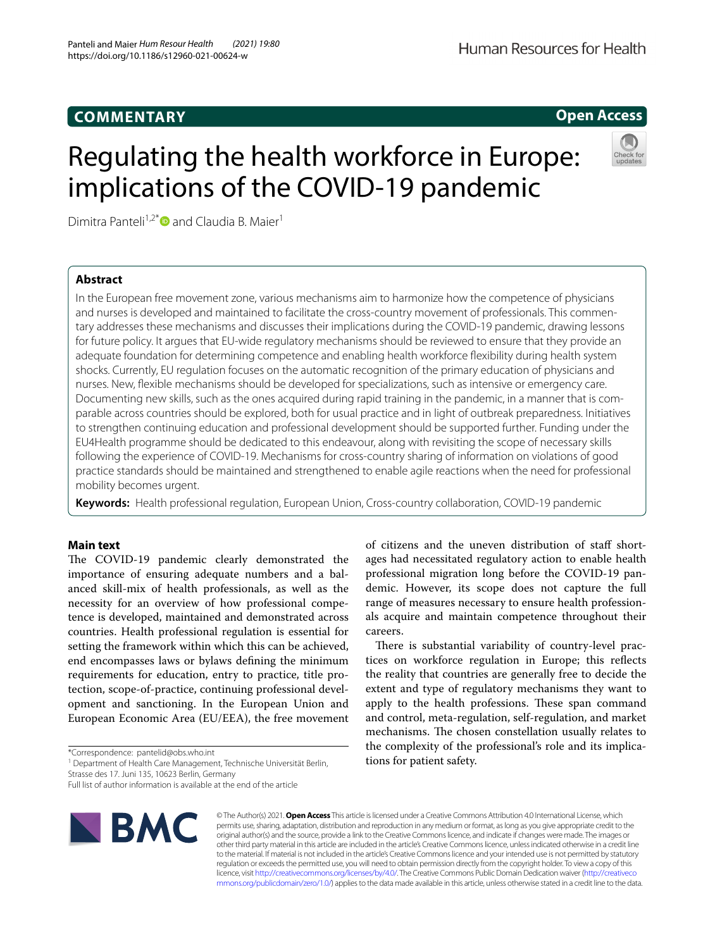## **COMMENTARY**

## **Open Access**

# Regulating the health workforce in Europe: implications of the COVID-19 pandemic



Dimitra Panteli<sup>1,2[\\*](http://orcid.org/0000-0003-2110-3335)</sup> and Claudia B. Maier<sup>1</sup>

## **Abstract**

In the European free movement zone, various mechanisms aim to harmonize how the competence of physicians and nurses is developed and maintained to facilitate the cross-country movement of professionals. This commentary addresses these mechanisms and discusses their implications during the COVID-19 pandemic, drawing lessons for future policy. It argues that EU-wide regulatory mechanisms should be reviewed to ensure that they provide an adequate foundation for determining competence and enabling health workforce fexibility during health system shocks. Currently, EU regulation focuses on the automatic recognition of the primary education of physicians and nurses. New, fexible mechanisms should be developed for specializations, such as intensive or emergency care. Documenting new skills, such as the ones acquired during rapid training in the pandemic, in a manner that is comparable across countries should be explored, both for usual practice and in light of outbreak preparedness. Initiatives to strengthen continuing education and professional development should be supported further. Funding under the EU4Health programme should be dedicated to this endeavour, along with revisiting the scope of necessary skills following the experience of COVID-19. Mechanisms for cross-country sharing of information on violations of good practice standards should be maintained and strengthened to enable agile reactions when the need for professional mobility becomes urgent.

**Keywords:** Health professional regulation, European Union, Cross-country collaboration, COVID-19 pandemic

## **Main text**

The COVID-19 pandemic clearly demonstrated the importance of ensuring adequate numbers and a balanced skill-mix of health professionals, as well as the necessity for an overview of how professional competence is developed, maintained and demonstrated across countries. Health professional regulation is essential for setting the framework within which this can be achieved, end encompasses laws or bylaws defning the minimum requirements for education, entry to practice, title protection, scope-of-practice, continuing professional development and sanctioning. In the European Union and European Economic Area (EU/EEA), the free movement

<sup>1</sup> Department of Health Care Management, Technische Universität Berlin,

Full list of author information is available at the end of the article



© The Author(s) 2021. **Open Access** This article is licensed under a Creative Commons Attribution 4.0 International License, which permits use, sharing, adaptation, distribution and reproduction in any medium or format, as long as you give appropriate credit to the original author(s) and the source, provide a link to the Creative Commons licence, and indicate if changes were made. The images or other third party material in this article are included in the article's Creative Commons licence, unless indicated otherwise in a credit line to the material. If material is not included in the article's Creative Commons licence and your intended use is not permitted by statutory regulation or exceeds the permitted use, you will need to obtain permission directly from the copyright holder. To view a copy of this licence, visit [http://creativecommons.org/licenses/by/4.0/.](http://creativecommons.org/licenses/by/4.0/) The Creative Commons Public Domain Dedication waiver ([http://creativeco](http://creativecommons.org/publicdomain/zero/1.0/) [mmons.org/publicdomain/zero/1.0/](http://creativecommons.org/publicdomain/zero/1.0/)) applies to the data made available in this article, unless otherwise stated in a credit line to the data.

of citizens and the uneven distribution of staf shortages had necessitated regulatory action to enable health professional migration long before the COVID-19 pandemic. However, its scope does not capture the full range of measures necessary to ensure health professionals acquire and maintain competence throughout their careers.

There is substantial variability of country-level practices on workforce regulation in Europe; this refects the reality that countries are generally free to decide the extent and type of regulatory mechanisms they want to apply to the health professions. These span command and control, meta-regulation, self-regulation, and market mechanisms. The chosen constellation usually relates to the complexity of the professional's role and its implications for patient safety.

<sup>\*</sup>Correspondence: pantelid@obs.who.int

Strasse des 17. Juni 135, 10623 Berlin, Germany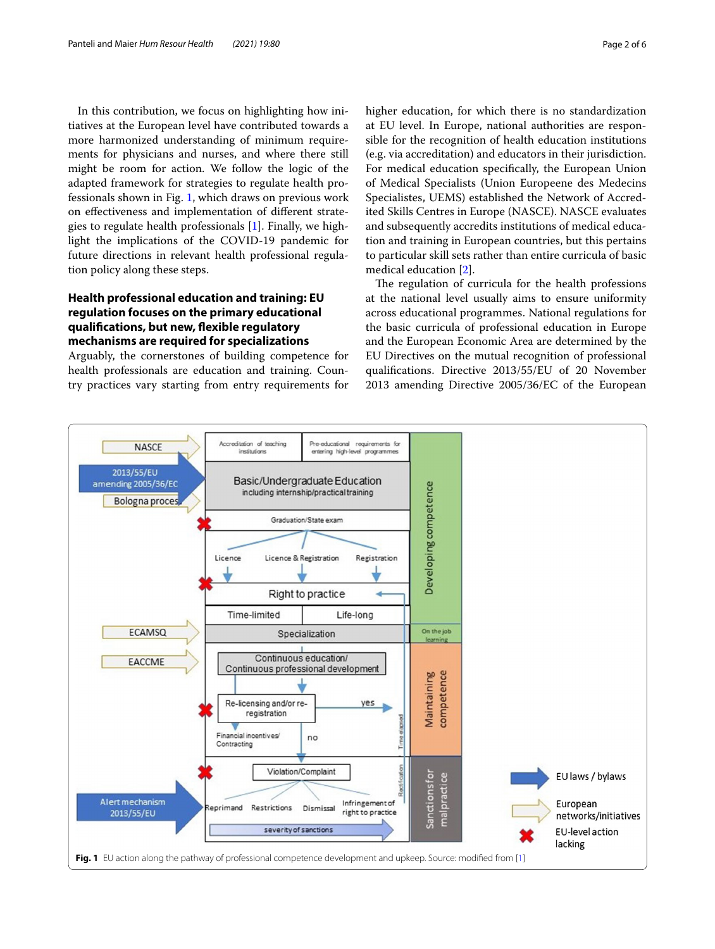In this contribution, we focus on highlighting how initiatives at the European level have contributed towards a more harmonized understanding of minimum requirements for physicians and nurses, and where there still might be room for action. We follow the logic of the adapted framework for strategies to regulate health professionals shown in Fig. [1](#page-1-0), which draws on previous work on efectiveness and implementation of diferent strategies to regulate health professionals [[1\]](#page-5-0). Finally, we highlight the implications of the COVID-19 pandemic for future directions in relevant health professional regulation policy along these steps.

## **Health professional education and training: EU regulation focuses on the primary educational qualifcations, but new, fexible regulatory mechanisms are required for specializations**

Arguably, the cornerstones of building competence for health professionals are education and training. Country practices vary starting from entry requirements for higher education, for which there is no standardization at EU level. In Europe, national authorities are responsible for the recognition of health education institutions (e.g. via accreditation) and educators in their jurisdiction. For medical education specifcally, the European Union of Medical Specialists (Union Europeene des Medecins Specialistes, UEMS) established the Network of Accredited Skills Centres in Europe (NASCE). NASCE evaluates and subsequently accredits institutions of medical education and training in European countries, but this pertains to particular skill sets rather than entire curricula of basic medical education [\[2](#page-5-1)].

The regulation of curricula for the health professions at the national level usually aims to ensure uniformity across educational programmes. National regulations for the basic curricula of professional education in Europe and the European Economic Area are determined by the EU Directives on the mutual recognition of professional qualifcations. Directive 2013/55/EU of 20 November 2013 amending Directive 2005/36/EC of the European

<span id="page-1-0"></span>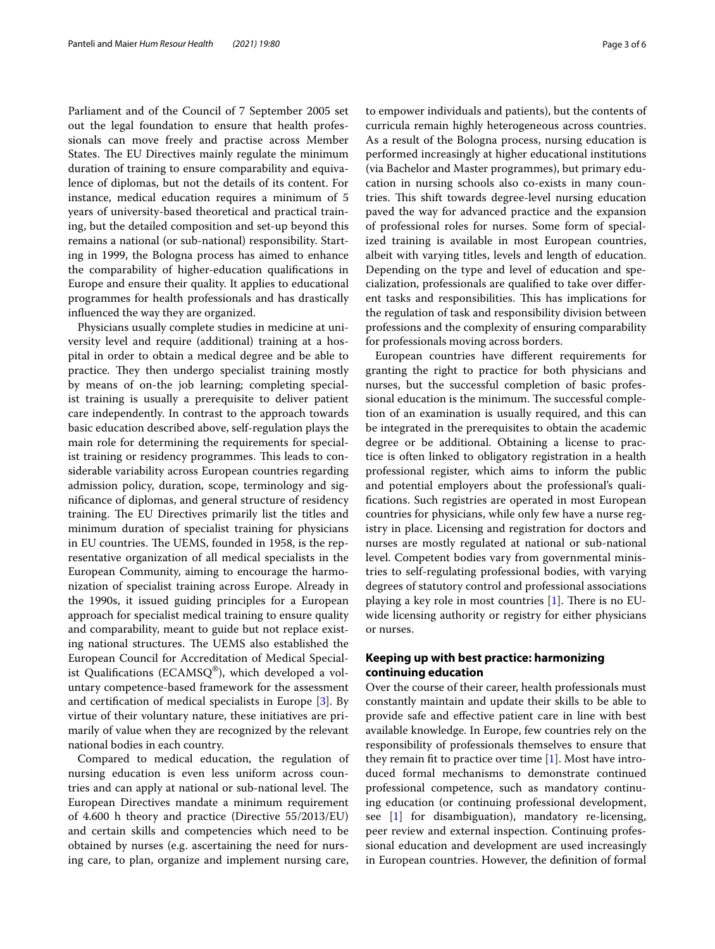Parliament and of the Council of 7 September 2005 set out the legal foundation to ensure that health professionals can move freely and practise across Member States. The EU Directives mainly regulate the minimum duration of training to ensure comparability and equivalence of diplomas, but not the details of its content. For instance, medical education requires a minimum of 5 years of university-based theoretical and practical training, but the detailed composition and set-up beyond this remains a national (or sub-national) responsibility. Starting in 1999, the Bologna process has aimed to enhance the comparability of higher-education qualifcations in Europe and ensure their quality. It applies to educational programmes for health professionals and has drastically infuenced the way they are organized.

Physicians usually complete studies in medicine at university level and require (additional) training at a hospital in order to obtain a medical degree and be able to practice. They then undergo specialist training mostly by means of on-the job learning; completing specialist training is usually a prerequisite to deliver patient care independently. In contrast to the approach towards basic education described above, self-regulation plays the main role for determining the requirements for specialist training or residency programmes. This leads to considerable variability across European countries regarding admission policy, duration, scope, terminology and signifcance of diplomas, and general structure of residency training. The EU Directives primarily list the titles and minimum duration of specialist training for physicians in EU countries. The UEMS, founded in 1958, is the representative organization of all medical specialists in the European Community, aiming to encourage the harmonization of specialist training across Europe. Already in the 1990s, it issued guiding principles for a European approach for specialist medical training to ensure quality and comparability, meant to guide but not replace existing national structures. The UEMS also established the European Council for Accreditation of Medical Specialist Qualifications (ECAMSQ<sup>®</sup>), which developed a voluntary competence-based framework for the assessment and certifcation of medical specialists in Europe [[3](#page-5-2)]. By virtue of their voluntary nature, these initiatives are primarily of value when they are recognized by the relevant national bodies in each country.

Compared to medical education, the regulation of nursing education is even less uniform across countries and can apply at national or sub-national level. The European Directives mandate a minimum requirement of 4.600 h theory and practice (Directive 55/2013/EU) and certain skills and competencies which need to be obtained by nurses (e.g. ascertaining the need for nursing care, to plan, organize and implement nursing care, to empower individuals and patients), but the contents of curricula remain highly heterogeneous across countries. As a result of the Bologna process, nursing education is performed increasingly at higher educational institutions (via Bachelor and Master programmes), but primary education in nursing schools also co-exists in many countries. This shift towards degree-level nursing education paved the way for advanced practice and the expansion of professional roles for nurses. Some form of specialized training is available in most European countries, albeit with varying titles, levels and length of education. Depending on the type and level of education and specialization, professionals are qualifed to take over diferent tasks and responsibilities. This has implications for the regulation of task and responsibility division between professions and the complexity of ensuring comparability for professionals moving across borders.

European countries have diferent requirements for granting the right to practice for both physicians and nurses, but the successful completion of basic professional education is the minimum. The successful completion of an examination is usually required, and this can be integrated in the prerequisites to obtain the academic degree or be additional. Obtaining a license to practice is often linked to obligatory registration in a health professional register, which aims to inform the public and potential employers about the professional's qualifcations. Such registries are operated in most European countries for physicians, while only few have a nurse registry in place. Licensing and registration for doctors and nurses are mostly regulated at national or sub-national level. Competent bodies vary from governmental ministries to self-regulating professional bodies, with varying degrees of statutory control and professional associations playing a key role in most countries  $[1]$  $[1]$ . There is no EUwide licensing authority or registry for either physicians or nurses.

## **Keeping up with best practice: harmonizing continuing education**

Over the course of their career, health professionals must constantly maintain and update their skills to be able to provide safe and efective patient care in line with best available knowledge. In Europe, few countries rely on the responsibility of professionals themselves to ensure that they remain ft to practice over time [\[1](#page-5-0)]. Most have introduced formal mechanisms to demonstrate continued professional competence, such as mandatory continuing education (or continuing professional development, see [[1\]](#page-5-0) for disambiguation), mandatory re-licensing, peer review and external inspection. Continuing professional education and development are used increasingly in European countries. However, the defnition of formal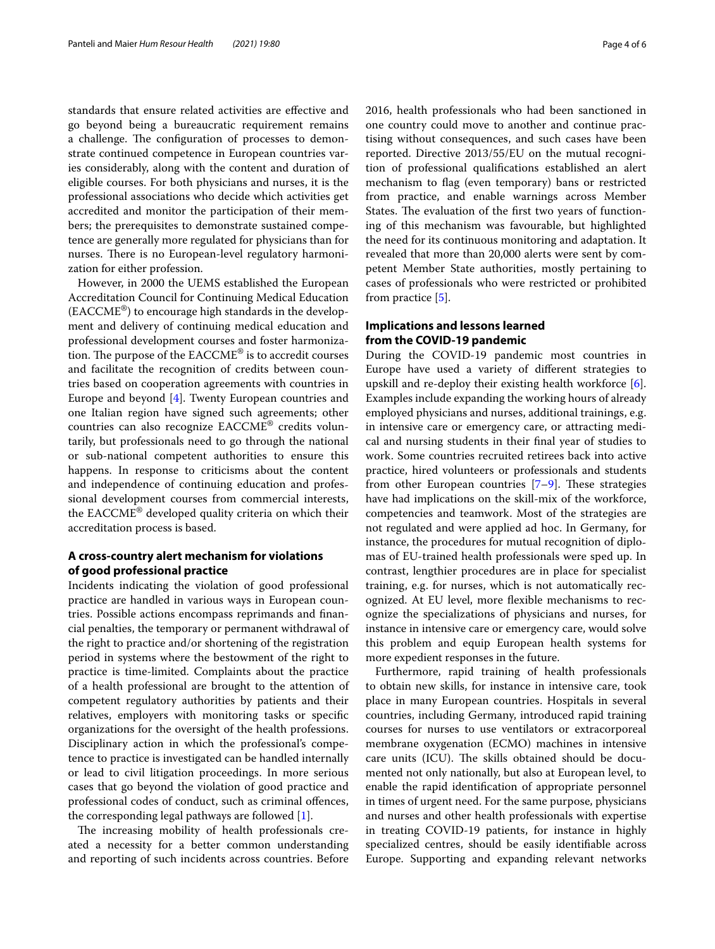standards that ensure related activities are efective and go beyond being a bureaucratic requirement remains a challenge. The configuration of processes to demonstrate continued competence in European countries varies considerably, along with the content and duration of eligible courses. For both physicians and nurses, it is the professional associations who decide which activities get accredited and monitor the participation of their members; the prerequisites to demonstrate sustained competence are generally more regulated for physicians than for nurses. There is no European-level regulatory harmonization for either profession.

However, in 2000 the UEMS established the European Accreditation Council for Continuing Medical Education (EACCME®) to encourage high standards in the development and delivery of continuing medical education and professional development courses and foster harmonization. The purpose of the  $EACCME^{\circledcirc}$  is to accredit courses and facilitate the recognition of credits between countries based on cooperation agreements with countries in Europe and beyond [\[4](#page-5-3)]. Twenty European countries and one Italian region have signed such agreements; other countries can also recognize EACCME® credits voluntarily, but professionals need to go through the national or sub-national competent authorities to ensure this happens. In response to criticisms about the content and independence of continuing education and professional development courses from commercial interests, the EACCME® developed quality criteria on which their accreditation process is based.

## **A cross‑country alert mechanism for violations of good professional practice**

Incidents indicating the violation of good professional practice are handled in various ways in European countries. Possible actions encompass reprimands and fnancial penalties, the temporary or permanent withdrawal of the right to practice and/or shortening of the registration period in systems where the bestowment of the right to practice is time-limited. Complaints about the practice of a health professional are brought to the attention of competent regulatory authorities by patients and their relatives, employers with monitoring tasks or specifc organizations for the oversight of the health professions. Disciplinary action in which the professional's competence to practice is investigated can be handled internally or lead to civil litigation proceedings. In more serious cases that go beyond the violation of good practice and professional codes of conduct, such as criminal ofences, the corresponding legal pathways are followed [[1\]](#page-5-0).

The increasing mobility of health professionals created a necessity for a better common understanding and reporting of such incidents across countries. Before 2016, health professionals who had been sanctioned in one country could move to another and continue practising without consequences, and such cases have been reported. Directive 2013/55/EU on the mutual recognition of professional qualifcations established an alert mechanism to fag (even temporary) bans or restricted from practice, and enable warnings across Member States. The evaluation of the first two years of functioning of this mechanism was favourable, but highlighted the need for its continuous monitoring and adaptation. It revealed that more than 20,000 alerts were sent by competent Member State authorities, mostly pertaining to cases of professionals who were restricted or prohibited from practice [\[5](#page-5-4)].

## **Implications and lessons learned from the COVID‑19 pandemic**

During the COVID-19 pandemic most countries in Europe have used a variety of diferent strategies to upskill and re-deploy their existing health workforce [\[6](#page-5-5)]. Examples include expanding the working hours of already employed physicians and nurses, additional trainings, e.g. in intensive care or emergency care, or attracting medical and nursing students in their fnal year of studies to work. Some countries recruited retirees back into active practice, hired volunteers or professionals and students from other European countries  $[7-9]$  $[7-9]$ . These strategies have had implications on the skill-mix of the workforce, competencies and teamwork. Most of the strategies are not regulated and were applied ad hoc. In Germany, for instance, the procedures for mutual recognition of diplomas of EU-trained health professionals were sped up. In contrast, lengthier procedures are in place for specialist training, e.g. for nurses, which is not automatically recognized. At EU level, more fexible mechanisms to recognize the specializations of physicians and nurses, for instance in intensive care or emergency care, would solve this problem and equip European health systems for more expedient responses in the future.

Furthermore, rapid training of health professionals to obtain new skills, for instance in intensive care, took place in many European countries. Hospitals in several countries, including Germany, introduced rapid training courses for nurses to use ventilators or extracorporeal membrane oxygenation (ECMO) machines in intensive care units (ICU). The skills obtained should be documented not only nationally, but also at European level, to enable the rapid identifcation of appropriate personnel in times of urgent need. For the same purpose, physicians and nurses and other health professionals with expertise in treating COVID-19 patients, for instance in highly specialized centres, should be easily identifable across Europe. Supporting and expanding relevant networks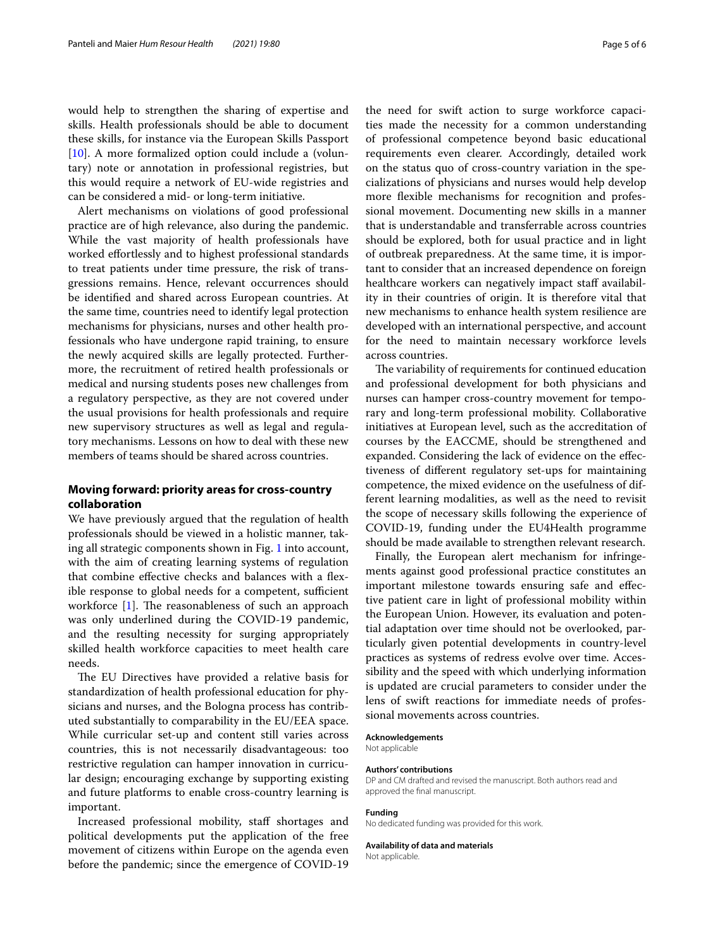would help to strengthen the sharing of expertise and skills. Health professionals should be able to document these skills, for instance via the European Skills Passport [[10\]](#page-5-8). A more formalized option could include a (voluntary) note or annotation in professional registries, but this would require a network of EU-wide registries and can be considered a mid- or long-term initiative.

Alert mechanisms on violations of good professional practice are of high relevance, also during the pandemic. While the vast majority of health professionals have worked efortlessly and to highest professional standards to treat patients under time pressure, the risk of transgressions remains. Hence, relevant occurrences should be identifed and shared across European countries. At the same time, countries need to identify legal protection mechanisms for physicians, nurses and other health professionals who have undergone rapid training, to ensure the newly acquired skills are legally protected. Furthermore, the recruitment of retired health professionals or medical and nursing students poses new challenges from a regulatory perspective, as they are not covered under the usual provisions for health professionals and require new supervisory structures as well as legal and regulatory mechanisms. Lessons on how to deal with these new members of teams should be shared across countries.

### **Moving forward: priority areas for cross‑country collaboration**

We have previously argued that the regulation of health professionals should be viewed in a holistic manner, taking all strategic components shown in Fig. [1](#page-1-0) into account, with the aim of creating learning systems of regulation that combine efective checks and balances with a fexible response to global needs for a competent, sufficient workforce  $[1]$ . The reasonableness of such an approach was only underlined during the COVID-19 pandemic, and the resulting necessity for surging appropriately skilled health workforce capacities to meet health care needs.

The EU Directives have provided a relative basis for standardization of health professional education for physicians and nurses, and the Bologna process has contributed substantially to comparability in the EU/EEA space. While curricular set-up and content still varies across countries, this is not necessarily disadvantageous: too restrictive regulation can hamper innovation in curricular design; encouraging exchange by supporting existing and future platforms to enable cross-country learning is important.

Increased professional mobility, staf shortages and political developments put the application of the free movement of citizens within Europe on the agenda even before the pandemic; since the emergence of COVID-19 the need for swift action to surge workforce capacities made the necessity for a common understanding of professional competence beyond basic educational requirements even clearer. Accordingly, detailed work on the status quo of cross-country variation in the specializations of physicians and nurses would help develop more fexible mechanisms for recognition and professional movement. Documenting new skills in a manner that is understandable and transferrable across countries should be explored, both for usual practice and in light of outbreak preparedness. At the same time, it is important to consider that an increased dependence on foreign healthcare workers can negatively impact staff availability in their countries of origin. It is therefore vital that new mechanisms to enhance health system resilience are developed with an international perspective, and account for the need to maintain necessary workforce levels across countries.

The variability of requirements for continued education and professional development for both physicians and nurses can hamper cross-country movement for temporary and long-term professional mobility. Collaborative initiatives at European level, such as the accreditation of courses by the EACCME, should be strengthened and expanded. Considering the lack of evidence on the efectiveness of diferent regulatory set-ups for maintaining competence, the mixed evidence on the usefulness of different learning modalities, as well as the need to revisit the scope of necessary skills following the experience of COVID-19, funding under the EU4Health programme should be made available to strengthen relevant research.

Finally, the European alert mechanism for infringements against good professional practice constitutes an important milestone towards ensuring safe and efective patient care in light of professional mobility within the European Union. However, its evaluation and potential adaptation over time should not be overlooked, particularly given potential developments in country-level practices as systems of redress evolve over time. Accessibility and the speed with which underlying information is updated are crucial parameters to consider under the lens of swift reactions for immediate needs of professional movements across countries.

#### **Acknowledgements** Not applicable

#### **Authors' contributions**

DP and CM drafted and revised the manuscript. Both authors read and approved the fnal manuscript.

#### **Funding**

No dedicated funding was provided for this work.

#### **Availability of data and materials**

Not applicable.